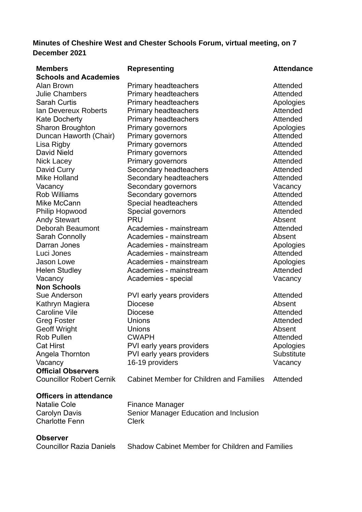# **Minutes of Cheshire West and Chester Schools Forum, virtual meeting, on 7 December 2021**

| <b>Members</b><br><b>Schools and Academies</b> | <b>Representing</b>                                    | <b>Attendance</b> |
|------------------------------------------------|--------------------------------------------------------|-------------------|
| Alan Brown                                     | <b>Primary headteachers</b>                            | Attended          |
| <b>Julie Chambers</b>                          | <b>Primary headteachers</b>                            | Attended          |
| <b>Sarah Curtis</b>                            | <b>Primary headteachers</b>                            | Apologies         |
| Ian Devereux Roberts                           | <b>Primary headteachers</b>                            | Attended          |
| <b>Kate Docherty</b>                           | <b>Primary headteachers</b>                            | Attended          |
| <b>Sharon Broughton</b>                        | <b>Primary governors</b>                               | Apologies         |
| Duncan Haworth (Chair)                         | <b>Primary governors</b>                               | Attended          |
| Lisa Rigby                                     | Primary governors                                      | Attended          |
| <b>David Nield</b>                             | Primary governors                                      | Attended          |
| Nick Lacey                                     | <b>Primary governors</b>                               | Attended          |
|                                                |                                                        | Attended          |
| David Curry<br>Mike Holland                    | Secondary headteachers                                 | Attended          |
|                                                | Secondary headteachers                                 |                   |
| Vacancy                                        | Secondary governors                                    | Vacancy           |
| <b>Rob Williams</b>                            | Secondary governors                                    | Attended          |
| Mike McCann                                    | Special headteachers                                   | Attended          |
| <b>Philip Hopwood</b>                          | Special governors                                      | Attended          |
| <b>Andy Stewart</b>                            | <b>PRU</b>                                             | Absent            |
| Deborah Beaumont                               | Academies - mainstream                                 | Attended          |
| <b>Sarah Connolly</b>                          | Academies - mainstream                                 | Absent            |
| Darran Jones                                   | Academies - mainstream                                 | Apologies         |
| Luci Jones                                     | Academies - mainstream                                 | Attended          |
| <b>Jason Lowe</b>                              | Academies - mainstream                                 | Apologies         |
| <b>Helen Studley</b>                           | Academies - mainstream                                 | Attended          |
| Vacancy                                        | Academies - special                                    | Vacancy           |
| <b>Non Schools</b>                             |                                                        |                   |
| Sue Anderson                                   | PVI early years providers                              | Attended          |
| Kathryn Magiera                                | <b>Diocese</b>                                         | Absent            |
| <b>Caroline Vile</b>                           | <b>Diocese</b>                                         | Attended          |
| <b>Greg Foster</b>                             | Unions                                                 | Attended          |
| <b>Geoff Wright</b>                            | <b>Unions</b>                                          | Absent            |
| <b>Rob Pullen</b>                              | <b>CWAPH</b>                                           | Attended          |
| <b>Cat Hirst</b>                               | PVI early years providers                              | Apologies         |
| Angela Thornton                                | PVI early years providers                              | Substitute        |
| Vacancy                                        | 16-19 providers                                        | Vacancy           |
| <b>Official Observers</b>                      |                                                        |                   |
| <b>Councillor Robert Cernik</b>                | <b>Cabinet Member for Children and Families</b>        | Attended          |
| <b>Officers in attendance</b>                  |                                                        |                   |
| <b>Natalie Cole</b>                            | Finance Manager                                        |                   |
| <b>Carolyn Davis</b>                           | Senior Manager Education and Inclusion                 |                   |
| <b>Charlotte Fenn</b>                          | <b>Clerk</b>                                           |                   |
| <b>Observer</b>                                |                                                        |                   |
| <b>Councillor Razia Daniels</b>                | <b>Shadow Cabinet Member for Children and Families</b> |                   |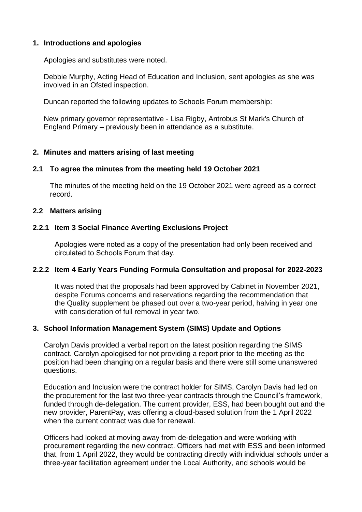## **1. Introductions and apologies**

Apologies and substitutes were noted.

Debbie Murphy, Acting Head of Education and Inclusion, sent apologies as she was involved in an Ofsted inspection.

Duncan reported the following updates to Schools Forum membership:

New primary governor representative - Lisa Rigby, Antrobus St Mark's Church of England Primary – previously been in attendance as a substitute.

## **2. Minutes and matters arising of last meeting**

## **2.1 To agree the minutes from the meeting held 19 October 2021**

The minutes of the meeting held on the 19 October 2021 were agreed as a correct record.

## **2.2 Matters arising**

## **2.2.1 Item 3 Social Finance Averting Exclusions Project**

Apologies were noted as a copy of the presentation had only been received and circulated to Schools Forum that day.

## **2.2.2 Item 4 Early Years Funding Formula Consultation and proposal for 2022-2023**

It was noted that the proposals had been approved by Cabinet in November 2021, despite Forums concerns and reservations regarding the recommendation that the Quality supplement be phased out over a two-year period, halving in year one with consideration of full removal in year two.

## **3. School Information Management System (SIMS) Update and Options**

Carolyn Davis provided a verbal report on the latest position regarding the SIMS contract. Carolyn apologised for not providing a report prior to the meeting as the position had been changing on a regular basis and there were still some unanswered questions.

Education and Inclusion were the contract holder for SIMS, Carolyn Davis had led on the procurement for the last two three-year contracts through the Council's framework, funded through de-delegation. The current provider, ESS, had been bought out and the new provider, ParentPay, was offering a cloud-based solution from the 1 April 2022 when the current contract was due for renewal

Officers had looked at moving away from de-delegation and were working with procurement regarding the new contract. Officers had met with ESS and been informed that, from 1 April 2022, they would be contracting directly with individual schools under a three-year facilitation agreement under the Local Authority, and schools would be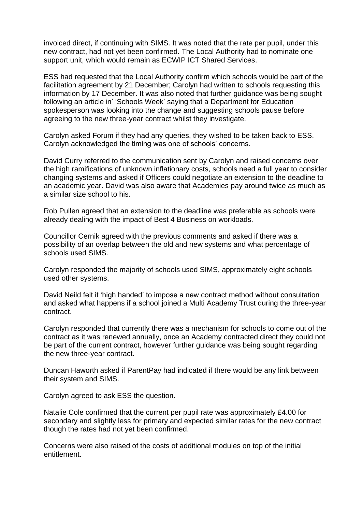invoiced direct, if continuing with SIMS. It was noted that the rate per pupil, under this new contract, had not yet been confirmed. The Local Authority had to nominate one support unit, which would remain as ECWIP ICT Shared Services.

ESS had requested that the Local Authority confirm which schools would be part of the facilitation agreement by 21 December; Carolyn had written to schools requesting this information by 17 December. It was also noted that further guidance was being sought following an article in' 'Schools Week' saying that a Department for Education spokesperson was looking into the change and suggesting schools pause before agreeing to the new three-year contract whilst they investigate.

Carolyn asked Forum if they had any queries, they wished to be taken back to ESS. Carolyn acknowledged the timing was one of schools' concerns.

David Curry referred to the communication sent by Carolyn and raised concerns over the high ramifications of unknown inflationary costs, schools need a full year to consider changing systems and asked if Officers could negotiate an extension to the deadline to an academic year. David was also aware that Academies pay around twice as much as a similar size school to his.

Rob Pullen agreed that an extension to the deadline was preferable as schools were already dealing with the impact of Best 4 Business on workloads.

Councillor Cernik agreed with the previous comments and asked if there was a possibility of an overlap between the old and new systems and what percentage of schools used SIMS.

Carolyn responded the majority of schools used SIMS, approximately eight schools used other systems.

David Neild felt it 'high handed' to impose a new contract method without consultation and asked what happens if a school joined a Multi Academy Trust during the three-year contract.

Carolyn responded that currently there was a mechanism for schools to come out of the contract as it was renewed annually, once an Academy contracted direct they could not be part of the current contract, however further guidance was being sought regarding the new three-year contract.

Duncan Haworth asked if ParentPay had indicated if there would be any link between their system and SIMS.

Carolyn agreed to ask ESS the question.

Natalie Cole confirmed that the current per pupil rate was approximately £4.00 for secondary and slightly less for primary and expected similar rates for the new contract though the rates had not yet been confirmed.

Concerns were also raised of the costs of additional modules on top of the initial entitlement.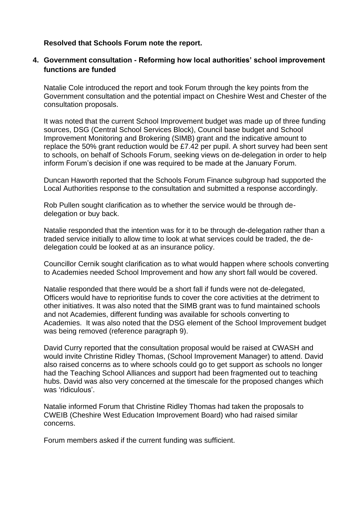## **Resolved that Schools Forum note the report.**

## **4. Government consultation - Reforming how local authorities' school improvement functions are funded**

Natalie Cole introduced the report and took Forum through the key points from the Government consultation and the potential impact on Cheshire West and Chester of the consultation proposals.

It was noted that the current School Improvement budget was made up of three funding sources, DSG (Central School Services Block), Council base budget and School Improvement Monitoring and Brokering (SIMB) grant and the indicative amount to replace the 50% grant reduction would be £7.42 per pupil. A short survey had been sent to schools, on behalf of Schools Forum, seeking views on de-delegation in order to help inform Forum's decision if one was required to be made at the January Forum.

Duncan Haworth reported that the Schools Forum Finance subgroup had supported the Local Authorities response to the consultation and submitted a response accordingly.

Rob Pullen sought clarification as to whether the service would be through dedelegation or buy back.

Natalie responded that the intention was for it to be through de-delegation rather than a traded service initially to allow time to look at what services could be traded, the dedelegation could be looked at as an insurance policy.

Councillor Cernik sought clarification as to what would happen where schools converting to Academies needed School Improvement and how any short fall would be covered.

Natalie responded that there would be a short fall if funds were not de-delegated, Officers would have to reprioritise funds to cover the core activities at the detriment to other initiatives. It was also noted that the SIMB grant was to fund maintained schools and not Academies, different funding was available for schools converting to Academies. It was also noted that the DSG element of the School Improvement budget was being removed (reference paragraph 9).

David Curry reported that the consultation proposal would be raised at CWASH and would invite Christine Ridley Thomas, (School Improvement Manager) to attend. David also raised concerns as to where schools could go to get support as schools no longer had the Teaching School Alliances and support had been fragmented out to teaching hubs. David was also very concerned at the timescale for the proposed changes which was 'ridiculous'.

Natalie informed Forum that Christine Ridley Thomas had taken the proposals to CWEIB (Cheshire West Education Improvement Board) who had raised similar concerns.

Forum members asked if the current funding was sufficient.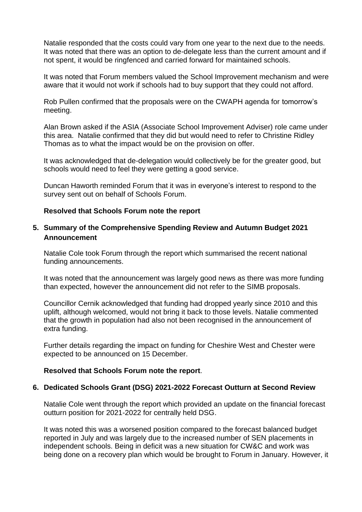Natalie responded that the costs could vary from one year to the next due to the needs. It was noted that there was an option to de-delegate less than the current amount and if not spent, it would be ringfenced and carried forward for maintained schools.

It was noted that Forum members valued the School Improvement mechanism and were aware that it would not work if schools had to buy support that they could not afford.

Rob Pullen confirmed that the proposals were on the CWAPH agenda for tomorrow's meeting.

Alan Brown asked if the ASIA (Associate School Improvement Adviser) role came under this area. Natalie confirmed that they did but would need to refer to Christine Ridley Thomas as to what the impact would be on the provision on offer.

It was acknowledged that de-delegation would collectively be for the greater good, but schools would need to feel they were getting a good service.

Duncan Haworth reminded Forum that it was in everyone's interest to respond to the survey sent out on behalf of Schools Forum.

### **Resolved that Schools Forum note the report**

## **5. Summary of the Comprehensive Spending Review and Autumn Budget 2021 Announcement**

Natalie Cole took Forum through the report which summarised the recent national funding announcements.

It was noted that the announcement was largely good news as there was more funding than expected, however the announcement did not refer to the SIMB proposals.

Councillor Cernik acknowledged that funding had dropped yearly since 2010 and this uplift, although welcomed, would not bring it back to those levels. Natalie commented that the growth in population had also not been recognised in the announcement of extra funding.

Further details regarding the impact on funding for Cheshire West and Chester were expected to be announced on 15 December.

### **Resolved that Schools Forum note the report**.

### **6. Dedicated Schools Grant (DSG) 2021-2022 Forecast Outturn at Second Review**

Natalie Cole went through the report which provided an update on the financial forecast outturn position for 2021-2022 for centrally held DSG.

It was noted this was a worsened position compared to the forecast balanced budget reported in July and was largely due to the increased number of SEN placements in independent schools. Being in deficit was a new situation for CW&C and work was being done on a recovery plan which would be brought to Forum in January. However, it